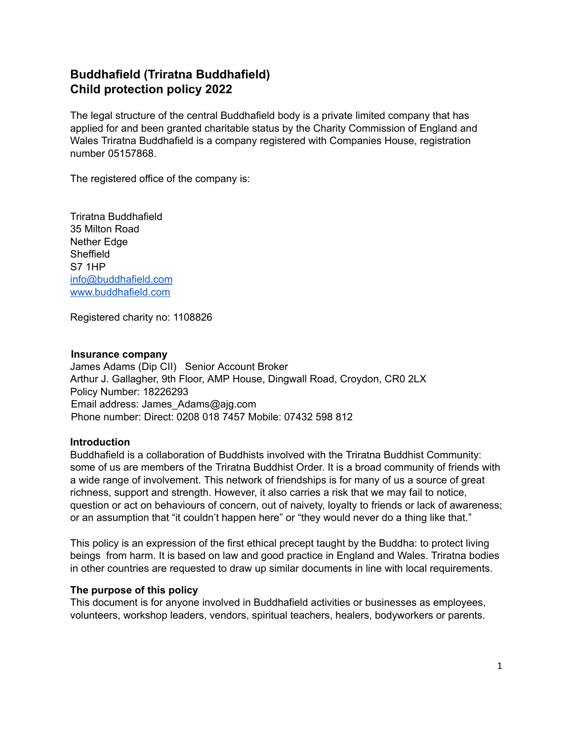# **Buddhafield (Triratna Buddhafield) Child protection policy 2022**

The legal structure of the central Buddhafield body is a private limited company that has applied for and been granted charitable status by the Charity Commission of England and Wales Triratna Buddhafield is a company registered with Companies House, registration number 05157868.

The registered office of the company is:

Triratna Buddhafield 35 Milton Road Nether Edge **Sheffield** S7 1HP [info@buddhafield.com](mailto:info@buddhafield.com) [www.buddhafield.com](http://www.buddhafield.com/)

Registered charity no: 1108826

#### **Insurance company**

James Adams (Dip CII) Senior Account Broker Arthur J. Gallagher, 9th Floor, AMP House, Dingwall Road, Croydon, CR0 2LX Policy Number: 18226293 Email address: James\_Adams@ajg.com Phone number: Direct: 0208 018 7457 Mobile: 07432 598 812

## **Introduction**

Buddhafield is a collaboration of Buddhists involved with the Triratna Buddhist Community: some of us are members of the Triratna Buddhist Order. It is a broad community of friends with a wide range of involvement. This network of friendships is for many of us a source of great richness, support and strength. However, it also carries a risk that we may fail to notice, question or act on behaviours of concern, out of naivety, loyalty to friends or lack of awareness; or an assumption that "it couldn't happen here" or "they would never do a thing like that."

This policy is an expression of the first ethical precept taught by the Buddha: to protect living beings from harm. It is based on law and good practice in England and Wales. Triratna bodies in other countries are requested to draw up similar documents in line with local requirements.

#### **The purpose of this policy**

This document is for anyone involved in Buddhafield activities or businesses as employees, volunteers, workshop leaders, vendors, spiritual teachers, healers, bodyworkers or parents.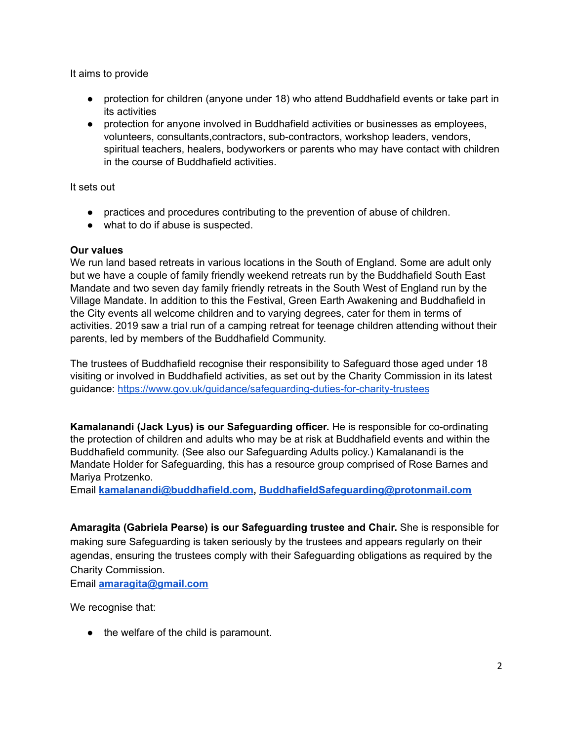It aims to provide

- protection for children (anyone under 18) who attend Buddhafield events or take part in its activities
- protection for anyone involved in Buddhafield activities or businesses as employees, volunteers, consultants,contractors, sub-contractors, workshop leaders, vendors, spiritual teachers, healers, bodyworkers or parents who may have contact with children in the course of Buddhafield activities.

It sets out

- practices and procedures contributing to the prevention of abuse of children.
- what to do if abuse is suspected.

## **Our values**

We run land based retreats in various locations in the South of England. Some are adult only but we have a couple of family friendly weekend retreats run by the Buddhafield South East Mandate and two seven day family friendly retreats in the South West of England run by the Village Mandate. In addition to this the Festival, Green Earth Awakening and Buddhafield in the City events all welcome children and to varying degrees, cater for them in terms of activities. 2019 saw a trial run of a camping retreat for teenage children attending without their parents, led by members of the Buddhafield Community.

The trustees of Buddhafield recognise their responsibility to Safeguard those aged under 18 visiting or involved in Buddhafield activities, as set out by the Charity Commission in its latest guidance: <https://www.gov.uk/guidance/safeguarding-duties-for-charity-trustees>

**Kamalanandi (Jack Lyus) is our Safeguarding officer.** He is responsible for co-ordinating the protection of children and adults who may be at risk at Buddhafield events and within the Buddhafield community. (See also our Safeguarding Adults policy.) Kamalanandi is the Mandate Holder for Safeguarding, this has a resource group comprised of Rose Barnes and Mariya Protzenko.

Email **[kamalanandi@buddhafield.com,](mailto:kamalanandi@buddhafield.com) [BuddhafieldSafeguarding@protonmail.com](mailto:BuddhafieldSafeguarding@protonmail.com)**

**Amaragita (Gabriela Pearse) is our Safeguarding trustee and Chair.** She is responsible for making sure Safeguarding is taken seriously by the trustees and appears regularly on their agendas, ensuring the trustees comply with their Safeguarding obligations as required by the Charity Commission.

Email **[amaragita@gmail.com](mailto:amaragita@gmail.com)**

We recognise that:

● the welfare of the child is paramount.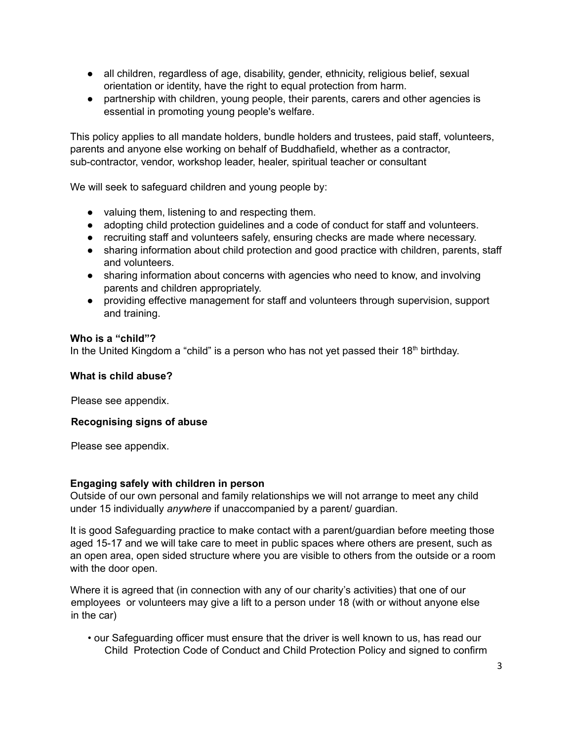- all children, regardless of age, disability, gender, ethnicity, religious belief, sexual orientation or identity, have the right to equal protection from harm.
- partnership with children, young people, their parents, carers and other agencies is essential in promoting young people's welfare.

This policy applies to all mandate holders, bundle holders and trustees, paid staff, volunteers, parents and anyone else working on behalf of Buddhafield, whether as a contractor, sub-contractor, vendor, workshop leader, healer, spiritual teacher or consultant

We will seek to safeguard children and young people by:

- valuing them, listening to and respecting them.
- adopting child protection guidelines and a code of conduct for staff and volunteers.
- recruiting staff and volunteers safely, ensuring checks are made where necessary.
- sharing information about child protection and good practice with children, parents, staff and volunteers.
- sharing information about concerns with agencies who need to know, and involving parents and children appropriately.
- providing effective management for staff and volunteers through supervision, support and training.

#### **Who is a "child"?**

In the United Kingdom a "child" is a person who has not yet passed their 18<sup>th</sup> birthday.

## **What is child abuse?**

Please see appendix.

## **Recognising signs of abuse**

Please see appendix.

## **Engaging safely with children in person**

Outside of our own personal and family relationships we will not arrange to meet any child under 15 individually *anywhere* if unaccompanied by a parent/ guardian.

It is good Safeguarding practice to make contact with a parent/guardian before meeting those aged 15-17 and we will take care to meet in public spaces where others are present, such as an open area, open sided structure where you are visible to others from the outside or a room with the door open.

Where it is agreed that (in connection with any of our charity's activities) that one of our employees or volunteers may give a lift to a person under 18 (with or without anyone else in the car)

• our Safeguarding officer must ensure that the driver is well known to us, has read our Child Protection Code of Conduct and Child Protection Policy and signed to confirm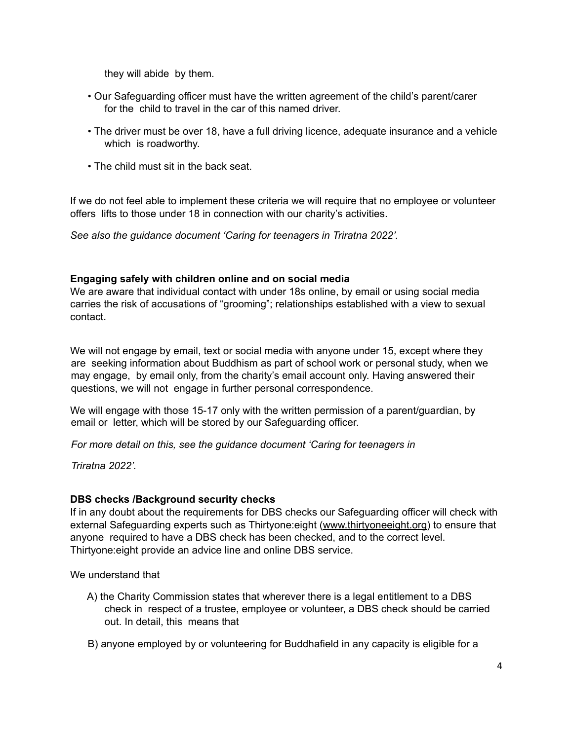they will abide by them.

- Our Safeguarding officer must have the written agreement of the child's parent/carer for the child to travel in the car of this named driver.
- The driver must be over 18, have a full driving licence, adequate insurance and a vehicle which is roadworthy.
- The child must sit in the back seat.

If we do not feel able to implement these criteria we will require that no employee or volunteer offers lifts to those under 18 in connection with our charity's activities.

*See also the guidance document 'Caring for teenagers in Triratna 2022'.*

#### **Engaging safely with children online and on social media**

We are aware that individual contact with under 18s online, by email or using social media carries the risk of accusations of "grooming"; relationships established with a view to sexual contact.

We will not engage by email, text or social media with anyone under 15, except where they are seeking information about Buddhism as part of school work or personal study, when we may engage, by email only, from the charity's email account only. Having answered their questions, we will not engage in further personal correspondence.

We will engage with those 15-17 only with the written permission of a parent/guardian, by email or letter, which will be stored by our Safeguarding officer.

*For more detail on this, see the guidance document 'Caring for teenagers in*

*Triratna 2022'.*

## **DBS checks /Background security checks**

If in any doubt about the requirements for DBS checks our Safeguarding officer will check with external Safeguarding experts such as Thirtyone:eight (www.thirtyoneeight.org) to ensure that anyone required to have a DBS check has been checked, and to the correct level. Thirtyone:eight provide an advice line and online DBS service.

We understand that

- A) the Charity Commission states that wherever there is a legal entitlement to a DBS check in respect of a trustee, employee or volunteer, a DBS check should be carried out. In detail, this means that
- B) anyone employed by or volunteering for Buddhafield in any capacity is eligible for a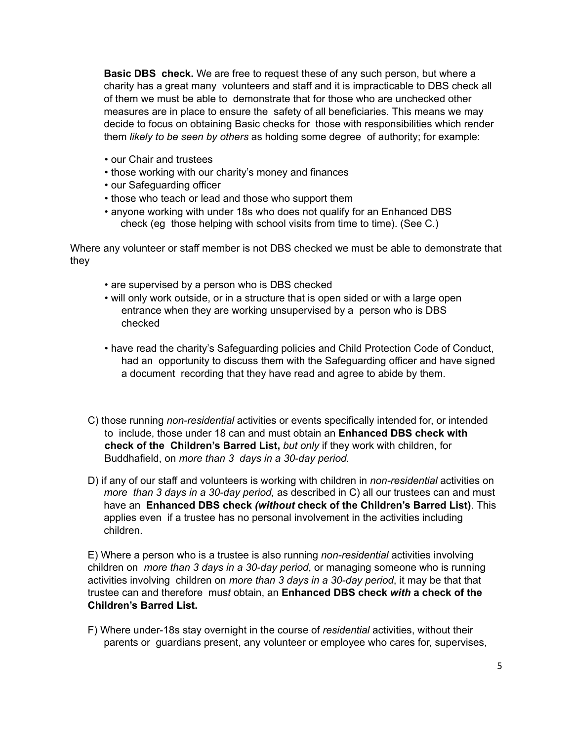**Basic DBS check.** We are free to request these of any such person, but where a charity has a great many volunteers and staff and it is impracticable to DBS check all of them we must be able to demonstrate that for those who are unchecked other measures are in place to ensure the safety of all beneficiaries. This means we may decide to focus on obtaining Basic checks for those with responsibilities which render them *likely to be seen by others* as holding some degree of authority; for example:

- our Chair and trustees
- those working with our charity's money and finances
- our Safeguarding officer
- those who teach or lead and those who support them
- anyone working with under 18s who does not qualify for an Enhanced DBS check (eg those helping with school visits from time to time). (See C.)

Where any volunteer or staff member is not DBS checked we must be able to demonstrate that they

- are supervised by a person who is DBS checked
- will only work outside, or in a structure that is open sided or with a large open entrance when they are working unsupervised by a person who is DBS checked
- have read the charity's Safeguarding policies and Child Protection Code of Conduct, had an opportunity to discuss them with the Safeguarding officer and have signed a document recording that they have read and agree to abide by them.
- C) those running *non-residential* activities or events specifically intended for, or intended to include, those under 18 can and must obtain an **Enhanced DBS check with check of the Children's Barred List,** *but only* if they work with children, for Buddhafield, on *more than 3 days in a 30-day period.*
- D) if any of our staff and volunteers is working with children in *non-residential* activities on *more than 3 days in a 30-day period,* as described in C) all our trustees can and must have an **Enhanced DBS check** *(without* **check of the Children's Barred List)**. This applies even if a trustee has no personal involvement in the activities including children.

E) Where a person who is a trustee is also running *non-residential* activities involving children on *more than 3 days in a 30-day period*, or managing someone who is running activities involving children on *more than 3 days in a 30-day period*, it may be that that trustee can and therefore mus*t* obtain, an **Enhanced DBS check** *with* **a check of the Children's Barred List.**

F) Where under-18s stay overnight in the course of *residential* activities, without their parents or guardians present, any volunteer or employee who cares for, supervises,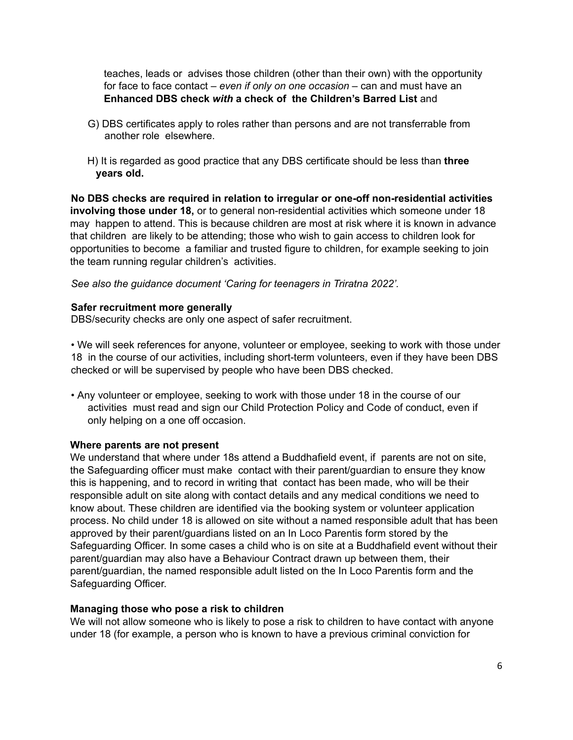teaches, leads or advises those children (other than their own) with the opportunity for face to face contact *– even if only on one occasion* – can and must have an **Enhanced DBS check** *with* **a check of the Children's Barred List** and

- G) DBS certificates apply to roles rather than persons and are not transferrable from another role elsewhere.
- H) It is regarded as good practice that any DBS certificate should be less than **three years old.**

**No DBS checks are required in relation to irregular or one-off non-residential activities involving those under 18,** or to general non-residential activities which someone under 18 may happen to attend. This is because children are most at risk where it is known in advance that children are likely to be attending; those who wish to gain access to children look for opportunities to become a familiar and trusted figure to children, for example seeking to join the team running regular children's activities.

*See also the guidance document 'Caring for teenagers in Triratna 2022'.*

#### **Safer recruitment more generally**

DBS/security checks are only one aspect of safer recruitment.

• We will seek references for anyone, volunteer or employee, seeking to work with those under 18 in the course of our activities, including short-term volunteers, even if they have been DBS checked or will be supervised by people who have been DBS checked.

• Any volunteer or employee, seeking to work with those under 18 in the course of our activities must read and sign our Child Protection Policy and Code of conduct, even if only helping on a one off occasion.

#### **Where parents are not present**

We understand that where under 18s attend a Buddhafield event, if parents are not on site, the Safeguarding officer must make contact with their parent/guardian to ensure they know this is happening, and to record in writing that contact has been made, who will be their responsible adult on site along with contact details and any medical conditions we need to know about. These children are identified via the booking system or volunteer application process. No child under 18 is allowed on site without a named responsible adult that has been approved by their parent/guardians listed on an In Loco Parentis form stored by the Safeguarding Officer. In some cases a child who is on site at a Buddhafield event without their parent/guardian may also have a Behaviour Contract drawn up between them, their parent/guardian, the named responsible adult listed on the In Loco Parentis form and the Safeguarding Officer.

## **Managing those who pose a risk to children**

We will not allow someone who is likely to pose a risk to children to have contact with anyone under 18 (for example, a person who is known to have a previous criminal conviction for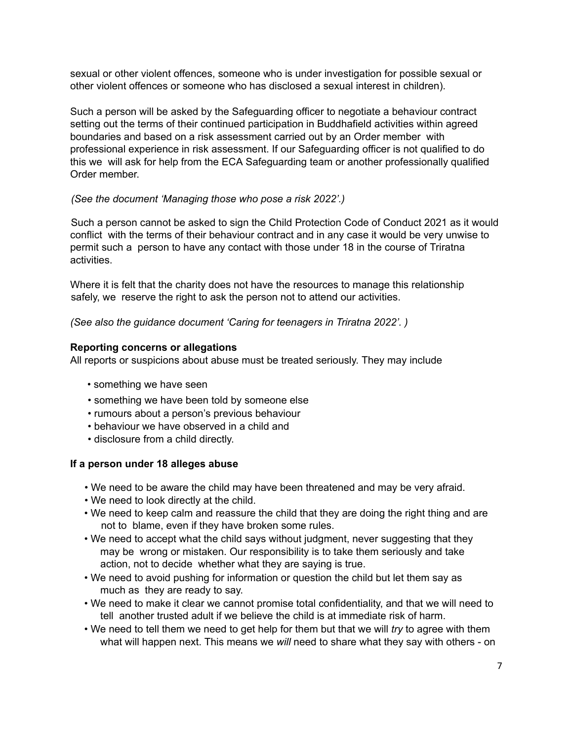sexual or other violent offences, someone who is under investigation for possible sexual or other violent offences or someone who has disclosed a sexual interest in children).

Such a person will be asked by the Safeguarding officer to negotiate a behaviour contract setting out the terms of their continued participation in Buddhafield activities within agreed boundaries and based on a risk assessment carried out by an Order member with professional experience in risk assessment. If our Safeguarding officer is not qualified to do this we will ask for help from the ECA Safeguarding team or another professionally qualified Order member.

## *(See the document 'Managing those who pose a risk 2022'.)*

Such a person cannot be asked to sign the Child Protection Code of Conduct 2021 as it would conflict with the terms of their behaviour contract and in any case it would be very unwise to permit such a person to have any contact with those under 18 in the course of Triratna activities.

Where it is felt that the charity does not have the resources to manage this relationship safely, we reserve the right to ask the person not to attend our activities.

*(See also the guidance document 'Caring for teenagers in Triratna 2022'. )*

## **Reporting concerns or allegations**

All reports or suspicions about abuse must be treated seriously. They may include

- something we have seen
- something we have been told by someone else
- rumours about a person's previous behaviour
- behaviour we have observed in a child and
- disclosure from a child directly.

## **If a person under 18 alleges abuse**

- We need to be aware the child may have been threatened and may be very afraid.
- We need to look directly at the child.
- We need to keep calm and reassure the child that they are doing the right thing and are not to blame, even if they have broken some rules.
- We need to accept what the child says without judgment, never suggesting that they may be wrong or mistaken. Our responsibility is to take them seriously and take action, not to decide whether what they are saying is true.
- We need to avoid pushing for information or question the child but let them say as much as they are ready to say.
- We need to make it clear we cannot promise total confidentiality, and that we will need to tell another trusted adult if we believe the child is at immediate risk of harm.
- We need to tell them we need to get help for them but that we will *try* to agree with them what will happen next. This means we *will* need to share what they say with others - on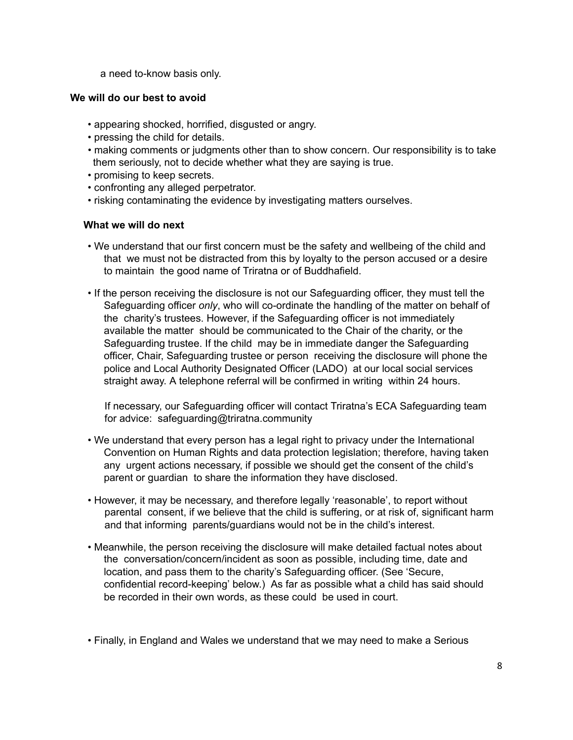a need to-know basis only.

### **We will do our best to avoid**

- appearing shocked, horrified, disgusted or angry.
- pressing the child for details.
- making comments or judgments other than to show concern. Our responsibility is to take them seriously, not to decide whether what they are saying is true.
- promising to keep secrets.
- confronting any alleged perpetrator.
- risking contaminating the evidence by investigating matters ourselves.

#### **What we will do next**

- We understand that our first concern must be the safety and wellbeing of the child and that we must not be distracted from this by loyalty to the person accused or a desire to maintain the good name of Triratna or of Buddhafield.
- If the person receiving the disclosure is not our Safeguarding officer, they must tell the Safeguarding officer *only*, who will co-ordinate the handling of the matter on behalf of the charity's trustees. However, if the Safeguarding officer is not immediately available the matter should be communicated to the Chair of the charity, or the Safeguarding trustee. If the child may be in immediate danger the Safeguarding officer, Chair, Safeguarding trustee or person receiving the disclosure will phone the police and Local Authority Designated Officer (LADO) at our local social services straight away. A telephone referral will be confirmed in writing within 24 hours.

If necessary, our Safeguarding officer will contact Triratna's ECA Safeguarding team for advice: safeguarding@triratna.community

- We understand that every person has a legal right to privacy under the International Convention on Human Rights and data protection legislation; therefore, having taken any urgent actions necessary, if possible we should get the consent of the child's parent or guardian to share the information they have disclosed.
- However, it may be necessary, and therefore legally 'reasonable', to report without parental consent, if we believe that the child is suffering, or at risk of, significant harm and that informing parents/guardians would not be in the child's interest.
- Meanwhile, the person receiving the disclosure will make detailed factual notes about the conversation/concern/incident as soon as possible, including time, date and location, and pass them to the charity's Safeguarding officer. (See 'Secure, confidential record-keeping' below.) As far as possible what a child has said should be recorded in their own words, as these could be used in court.
- Finally, in England and Wales we understand that we may need to make a Serious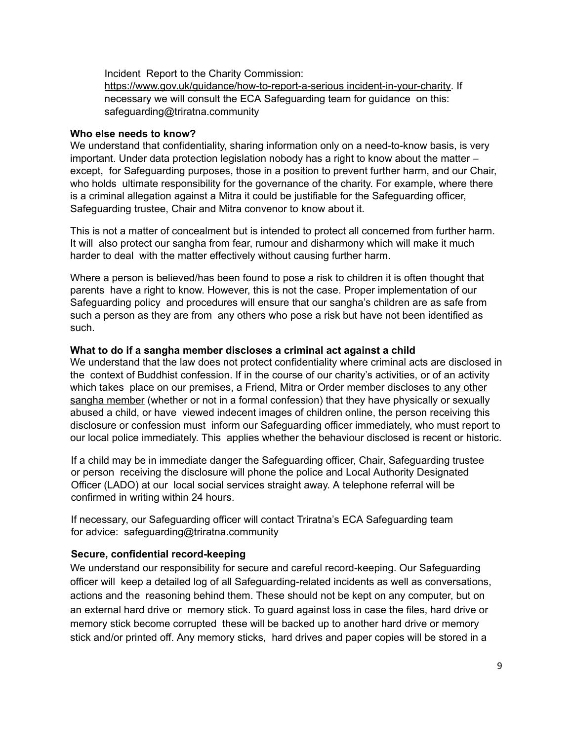Incident Report to the Charity Commission: https://www.gov.uk/guidance/how-to-report-a-serious incident-in-your-charity. If necessary we will consult the ECA Safeguarding team for guidance on this: safeguarding@triratna.community

#### **Who else needs to know?**

We understand that confidentiality, sharing information only on a need-to-know basis, is very important. Under data protection legislation nobody has a right to know about the matter – except, for Safeguarding purposes, those in a position to prevent further harm, and our Chair, who holds ultimate responsibility for the governance of the charity. For example, where there is a criminal allegation against a Mitra it could be justifiable for the Safeguarding officer, Safeguarding trustee, Chair and Mitra convenor to know about it.

This is not a matter of concealment but is intended to protect all concerned from further harm. It will also protect our sangha from fear, rumour and disharmony which will make it much harder to deal with the matter effectively without causing further harm.

Where a person is believed/has been found to pose a risk to children it is often thought that parents have a right to know. However, this is not the case. Proper implementation of our Safeguarding policy and procedures will ensure that our sangha's children are as safe from such a person as they are from any others who pose a risk but have not been identified as such.

#### **What to do if a sangha member discloses a criminal act against a child**

We understand that the law does not protect confidentiality where criminal acts are disclosed in the context of Buddhist confession. If in the course of our charity's activities, or of an activity which takes place on our premises, a Friend, Mitra or Order member discloses to any other sangha member (whether or not in a formal confession) that they have physically or sexually abused a child, or have viewed indecent images of children online, the person receiving this disclosure or confession must inform our Safeguarding officer immediately, who must report to our local police immediately. This applies whether the behaviour disclosed is recent or historic.

If a child may be in immediate danger the Safeguarding officer, Chair, Safeguarding trustee or person receiving the disclosure will phone the police and Local Authority Designated Officer (LADO) at our local social services straight away. A telephone referral will be confirmed in writing within 24 hours.

If necessary, our Safeguarding officer will contact Triratna's ECA Safeguarding team for advice: safeguarding@triratna.community

## **Secure, confidential record-keeping**

We understand our responsibility for secure and careful record-keeping. Our Safeguarding officer will keep a detailed log of all Safeguarding-related incidents as well as conversations, actions and the reasoning behind them. These should not be kept on any computer, but on an external hard drive or memory stick. To guard against loss in case the files, hard drive or memory stick become corrupted these will be backed up to another hard drive or memory stick and/or printed off. Any memory sticks, hard drives and paper copies will be stored in a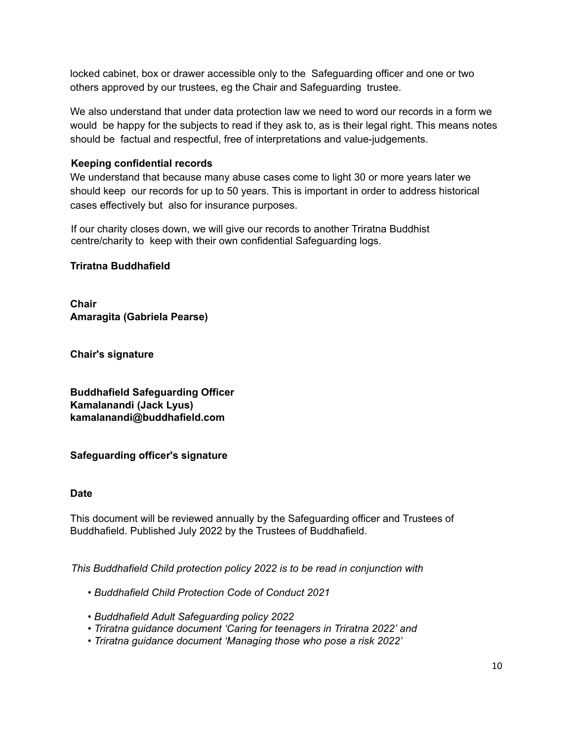locked cabinet, box or drawer accessible only to the Safeguarding officer and one or two others approved by our trustees, eg the Chair and Safeguarding trustee.

We also understand that under data protection law we need to word our records in a form we would be happy for the subjects to read if they ask to, as is their legal right. This means notes should be factual and respectful, free of interpretations and value-judgements.

## **Keeping confidential records**

We understand that because many abuse cases come to light 30 or more years later we should keep our records for up to 50 years. This is important in order to address historical cases effectively but also for insurance purposes.

If our charity closes down, we will give our records to another Triratna Buddhist centre/charity to keep with their own confidential Safeguarding logs.

## **Triratna Buddhafield**

**Chair Amaragita (Gabriela Pearse)**

**Chair's signature**

**Buddhafield Safeguarding Officer Kamalanandi (Jack Lyus) kamalanandi@buddhafield.com**

## **Safeguarding officer's signature**

## **Date**

This document will be reviewed annually by the Safeguarding officer and Trustees of Buddhafield. Published July 2022 by the Trustees of Buddhafield.

*This Buddhafield Child protection policy 2022 is to be read in conjunction with*

- *Buddhafield Child Protection Code of Conduct 2021*
- *Buddhafield Adult Safeguarding policy 2022*
- *Triratna guidance document 'Caring for teenagers in Triratna 2022' and*
- *Triratna guidance document 'Managing those who pose a risk 2022'*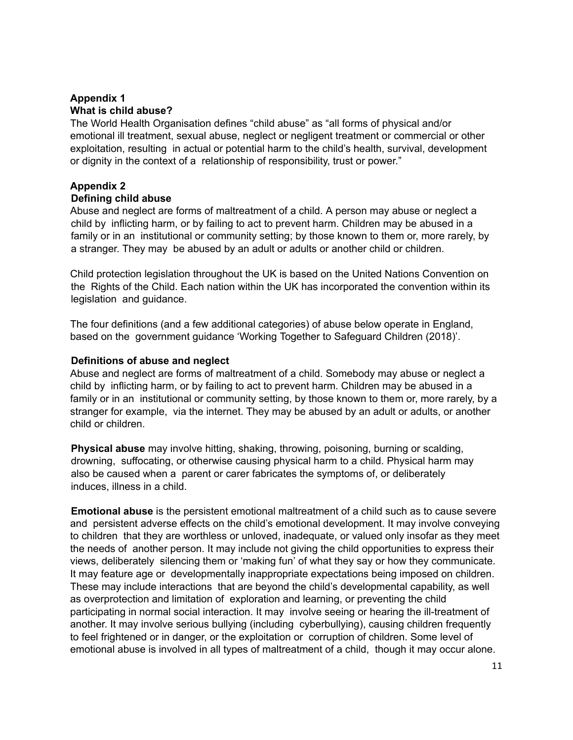# **Appendix 1 What is child abuse?**

The World Health Organisation defines "child abuse" as "all forms of physical and/or emotional ill treatment, sexual abuse, neglect or negligent treatment or commercial or other exploitation, resulting in actual or potential harm to the child's health, survival, development or dignity in the context of a relationship of responsibility, trust or power."

# **Appendix 2**

# **Defining child abuse**

Abuse and neglect are forms of maltreatment of a child. A person may abuse or neglect a child by inflicting harm, or by failing to act to prevent harm. Children may be abused in a family or in an institutional or community setting; by those known to them or, more rarely, by a stranger. They may be abused by an adult or adults or another child or children.

Child protection legislation throughout the UK is based on the United Nations Convention on the Rights of the Child. Each nation within the UK has incorporated the convention within its legislation and guidance.

The four definitions (and a few additional categories) of abuse below operate in England, based on the government guidance 'Working Together to Safeguard Children (2018)'.

## **Definitions of abuse and neglect**

Abuse and neglect are forms of maltreatment of a child. Somebody may abuse or neglect a child by inflicting harm, or by failing to act to prevent harm. Children may be abused in a family or in an institutional or community setting, by those known to them or, more rarely, by a stranger for example, via the internet. They may be abused by an adult or adults, or another child or children.

**Physical abuse** may involve hitting, shaking, throwing, poisoning, burning or scalding, drowning, suffocating, or otherwise causing physical harm to a child. Physical harm may also be caused when a parent or carer fabricates the symptoms of, or deliberately induces, illness in a child.

**Emotional abuse** is the persistent emotional maltreatment of a child such as to cause severe and persistent adverse effects on the child's emotional development. It may involve conveying to children that they are worthless or unloved, inadequate, or valued only insofar as they meet the needs of another person. It may include not giving the child opportunities to express their views, deliberately silencing them or 'making fun' of what they say or how they communicate. It may feature age or developmentally inappropriate expectations being imposed on children. These may include interactions that are beyond the child's developmental capability, as well as overprotection and limitation of exploration and learning, or preventing the child participating in normal social interaction. It may involve seeing or hearing the ill-treatment of another. It may involve serious bullying (including cyberbullying), causing children frequently to feel frightened or in danger, or the exploitation or corruption of children. Some level of emotional abuse is involved in all types of maltreatment of a child, though it may occur alone.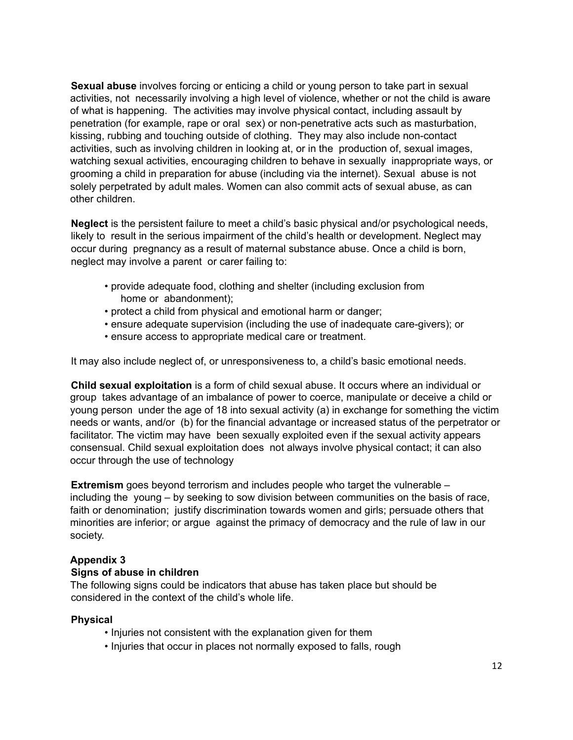**Sexual abuse** involves forcing or enticing a child or young person to take part in sexual activities, not necessarily involving a high level of violence, whether or not the child is aware of what is happening. The activities may involve physical contact, including assault by penetration (for example, rape or oral sex) or non-penetrative acts such as masturbation, kissing, rubbing and touching outside of clothing. They may also include non-contact activities, such as involving children in looking at, or in the production of, sexual images, watching sexual activities, encouraging children to behave in sexually inappropriate ways, or grooming a child in preparation for abuse (including via the internet). Sexual abuse is not solely perpetrated by adult males. Women can also commit acts of sexual abuse, as can other children.

**Neglect** is the persistent failure to meet a child's basic physical and/or psychological needs, likely to result in the serious impairment of the child's health or development. Neglect may occur during pregnancy as a result of maternal substance abuse. Once a child is born, neglect may involve a parent or carer failing to:

- provide adequate food, clothing and shelter (including exclusion from home or abandonment);
- protect a child from physical and emotional harm or danger;
- ensure adequate supervision (including the use of inadequate care-givers); or
- ensure access to appropriate medical care or treatment.

It may also include neglect of, or unresponsiveness to, a child's basic emotional needs.

**Child sexual exploitation** is a form of child sexual abuse. It occurs where an individual or group takes advantage of an imbalance of power to coerce, manipulate or deceive a child or young person under the age of 18 into sexual activity (a) in exchange for something the victim needs or wants, and/or (b) for the financial advantage or increased status of the perpetrator or facilitator. The victim may have been sexually exploited even if the sexual activity appears consensual. Child sexual exploitation does not always involve physical contact; it can also occur through the use of technology

**Extremism** goes beyond terrorism and includes people who target the vulnerable – including the young – by seeking to sow division between communities on the basis of race, faith or denomination; justify discrimination towards women and girls; persuade others that minorities are inferior; or argue against the primacy of democracy and the rule of law in our society.

## **Appendix 3**

## **Signs of abuse in children**

The following signs could be indicators that abuse has taken place but should be considered in the context of the child's whole life.

## **Physical**

- Injuries not consistent with the explanation given for them
- Injuries that occur in places not normally exposed to falls, rough